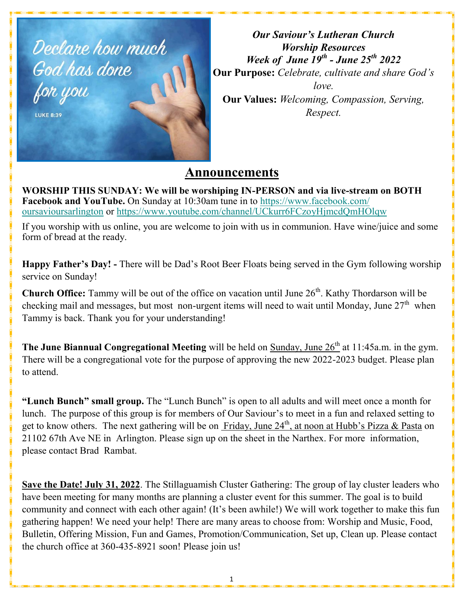

*Our Saviour's Lutheran Church Worship Resources Week of June 19th - June 25th 2022* **Our Purpose:** *Celebrate, cultivate and share God's love.* **Our Values:** *Welcoming, Compassion, Serving, Respect.*

# **Announcements**

**WORSHIP THIS SUNDAY: We will be worshiping IN-PERSON and via live-stream on BOTH Facebook and YouTube.** On Sunday at 10:30am tune in to [https://www.facebook.com/](https://www.facebook.com/oursavioursarlington) [oursavioursarlington](https://www.facebook.com/oursavioursarlington) or <https://www.youtube.com/channel/UCkurr6FCzoyHjmcdQmHOlqw>

If you worship with us online, you are welcome to join with us in communion. Have wine/juice and some form of bread at the ready.

**Happy Father's Day! -** There will be Dad's Root Beer Floats being served in the Gym following worship service on Sunday!

**Church Office:** Tammy will be out of the office on vacation until June 26<sup>th</sup>. Kathy Thordarson will be checking mail and messages, but most non-urgent items will need to wait until Monday, June  $27<sup>th</sup>$  when Tammy is back. Thank you for your understanding!

**The June Biannual Congregational Meeting** will be held on Sunday, June 26<sup>th</sup> at 11:45a.m. in the gym. There will be a congregational vote for the purpose of approving the new 2022-2023 budget. Please plan to attend.

**"Lunch Bunch" small group.** The "Lunch Bunch" is open to all adults and will meet once a month for lunch. The purpose of this group is for members of Our Saviour's to meet in a fun and relaxed setting to get to know others. The next gathering will be on Friday, June  $24<sup>th</sup>$ , at noon at Hubb's Pizza & Pasta on 21102 67th Ave NE in Arlington. Please sign up on the sheet in the Narthex. For more information, please contact Brad Rambat.

**Save the Date! July 31, 2022**. The Stillaguamish Cluster Gathering: The group of lay cluster leaders who have been meeting for many months are planning a cluster event for this summer. The goal is to build community and connect with each other again! (It's been awhile!) We will work together to make this fun gathering happen! We need your help! There are many areas to choose from: Worship and Music, Food, Bulletin, Offering Mission, Fun and Games, Promotion/Communication, Set up, Clean up. Please contact the church office at 360-435-8921 soon! Please join us!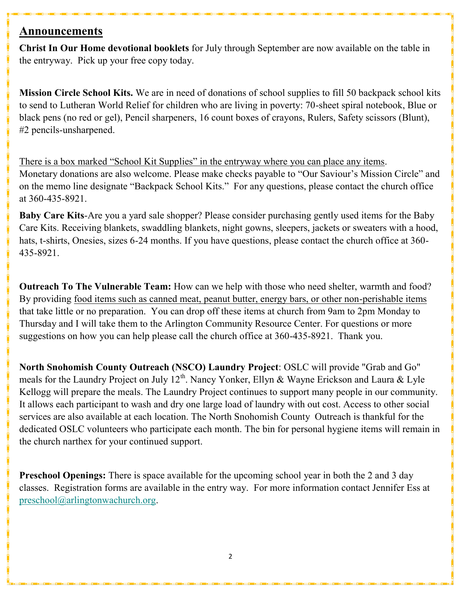# **Announcements**

**Christ In Our Home devotional booklets** for July through September are now available on the table in the entryway. Pick up your free copy today.

**Mission Circle School Kits.** We are in need of donations of school supplies to fill 50 backpack school kits to send to Lutheran World Relief for children who are living in poverty: 70-sheet spiral notebook, Blue or black pens (no red or gel), Pencil sharpeners, 16 count boxes of crayons, Rulers, Safety scissors (Blunt), #2 pencils-unsharpened.

There is a box marked "School Kit Supplies" in the entryway where you can place any items. Monetary donations are also welcome. Please make checks payable to "Our Saviour's Mission Circle" and on the memo line designate "Backpack School Kits." For any questions, please contact the church office at 360-435-8921.

**Baby Care Kits**-Are you a yard sale shopper? Please consider purchasing gently used items for the Baby Care Kits. Receiving blankets, swaddling blankets, night gowns, sleepers, jackets or sweaters with a hood, hats, t-shirts, Onesies, sizes 6-24 months. If you have questions, please contact the church office at 360- 435-8921.

**Outreach To The Vulnerable Team:** How can we help with those who need shelter, warmth and food? By providing <u>food items such as canned meat</u>, peanut butter, energy bars, or other non-perishable items that take little or no preparation. You can drop off these items at church from 9am to 2pm Monday to Thursday and I will take them to the Arlington Community Resource Center. For questions or more suggestions on how you can help please call the church office at 360-435-8921. Thank you.

**North Snohomish County Outreach (NSCO) Laundry Project**: OSLC will provide "Grab and Go" meals for the Laundry Project on July  $12^{th}$ . Nancy Yonker, Ellyn & Wayne Erickson and Laura & Lyle Kellogg will prepare the meals. The Laundry Project continues to support many people in our community. It allows each participant to wash and dry one large load of laundry with out cost. Access to other social services are also available at each location. The North Snohomish County Outreach is thankful for the dedicated OSLC volunteers who participate each month. The bin for personal hygiene items will remain in the church narthex for your continued support.

**Preschool Openings:** There is space available for the upcoming school year in both the 2 and 3 day classes. Registration forms are available in the entry way. For more information contact Jennifer Ess at [preschool@arlingtonwachurch.org.](mailto:preschool@arlingtonwachurch.org)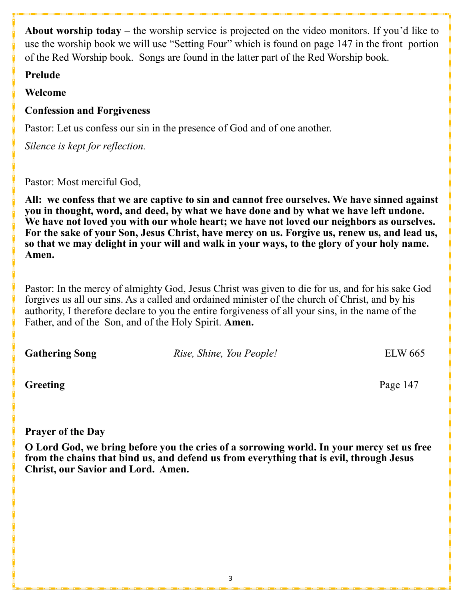**About worship today** – the worship service is projected on the video monitors. If you'd like to use the worship book we will use "Setting Four" which is found on page 147 in the front portion of the Red Worship book. Songs are found in the latter part of the Red Worship book.

# **Prelude**

# **Welcome**

# **Confession and Forgiveness**

Pastor: Let us confess our sin in the presence of God and of one another.

*Silence is kept for reflection.*

Pastor: Most merciful God,

**All: we confess that we are captive to sin and cannot free ourselves. We have sinned against you in thought, word, and deed, by what we have done and by what we have left undone. We have not loved you with our whole heart; we have not loved our neighbors as ourselves. For the sake of your Son, Jesus Christ, have mercy on us. Forgive us, renew us, and lead us, so that we may delight in your will and walk in your ways, to the glory of your holy name. Amen.**

Pastor: In the mercy of almighty God, Jesus Christ was given to die for us, and for his sake God forgives us all our sins. As a called and ordained minister of the church of Christ, and by his authority, I therefore declare to you the entire forgiveness of all your sins, in the name of the Father, and of the Son, and of the Holy Spirit. **Amen.**

**Gathering Song** *Rise, Shine, You People!* ELW 665

**Greeting** Page 147

# **Prayer of the Day**

**O Lord God, we bring before you the cries of a sorrowing world. In your mercy set us free from the chains that bind us, and defend us from everything that is evil, through Jesus Christ, our Savior and Lord. Amen.**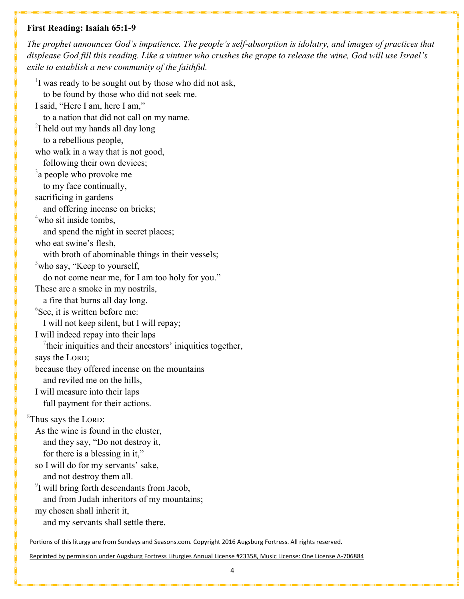#### **First Reading: Isaiah 65:1-9**

*The prophet announces God's impatience. The people's self-absorption is idolatry, and images of practices that displease God fill this reading. Like a vintner who crushes the grape to release the wine, God will use Israel's exile to establish a new community of the faithful.*

 $1$  was ready to be sought out by those who did not ask, to be found by those who did not seek me. I said, "Here I am, here I am," to a nation that did not call on my name.  $2$ I held out my hands all day long to a rebellious people, who walk in a way that is not good, following their own devices;  $3a$  people who provoke me to my face continually, sacrificing in gardens and offering incense on bricks;  $4$ who sit inside tombs, and spend the night in secret places; who eat swine's flesh, with broth of abominable things in their vessels;  $5$ who say, "Keep to yourself, do not come near me, for I am too holy for you." These are a smoke in my nostrils, a fire that burns all day long.  ${}^{6}$ See, it is written before me: I will not keep silent, but I will repay; I will indeed repay into their laps  $\alpha$ <sup>7</sup> their iniquities and their ancestors' iniquities together, says the LORD; because they offered incense on the mountains and reviled me on the hills, I will measure into their laps full payment for their actions.  ${}^8$ Thus says the LORD: As the wine is found in the cluster, and they say, "Do not destroy it, for there is a blessing in it," so I will do for my servants' sake, and not destroy them all.  $9$ I will bring forth descendants from Jacob, and from Judah inheritors of my mountains; my chosen shall inherit it, and my servants shall settle there.

Portions of this liturgy are from Sundays and Seasons.com. Copyright 2016 Augsburg Fortress. All rights reserved.

Reprinted by permission under Augsburg Fortress Liturgies Annual License #23358, Music License: One License A-706884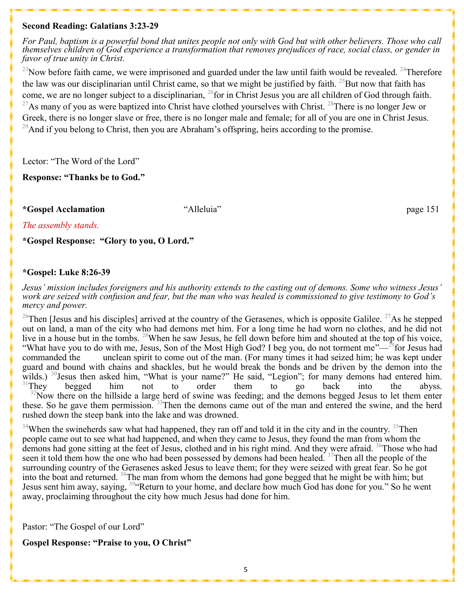#### **Second Reading: Galatians 3:23-29**

*For Paul, baptism is a powerful bond that unites people not only with God but with other believers. Those who call themselves children of God experience a transformation that removes prejudices of race, social class, or gender in favor of true unity in Christ.*

 $^{23}$ Now before faith came, we were imprisoned and guarded under the law until faith would be revealed.  $^{24}$ Therefore the law was our disciplinarian until Christ came, so that we might be justified by faith. <sup>25</sup>But now that faith has come, we are no longer subject to a disciplinarian, <sup>26</sup>for in Christ Jesus you are all children of God through faith.  $^{27}$ As many of you as were baptized into Christ have clothed yourselves with Christ.  $^{28}$ There is no longer Jew or Greek, there is no longer slave or free, there is no longer male and female; for all of you are one in Christ Jesus. <sup>29</sup>And if you belong to Christ, then you are Abraham's offspring, heirs according to the promise.

Lector: "The Word of the Lord"

**Response: "Thanks be to God."**

**\*Gospel Acclamation** "Alleluia" page 151

*The assembly stands.* 

**\*Gospel Response: "Glory to you, O Lord."** 

#### **\*Gospel: Luke 8:26-39**

*Jesus' mission includes foreigners and his authority extends to the casting out of demons. Some who witness Jesus' work are seized with confusion and fear, but the man who was healed is commissioned to give testimony to God's mercy and power.*

<sup>26</sup>Then [Jesus and his disciples] arrived at the country of the Gerasenes, which is opposite Galilee. <sup>27</sup>As he stepped out on land, a man of the city who had demons met him. For a long time he had worn no clothes, and he did not live in a house but in the tombs. <sup>28</sup>When he saw Jesus, he fell down before him and shouted at the top of his voice, "What have you to do with me, Jesus, Son of the Most High God? I beg you, do not torment me"— $^{29}$  for Jesus had commanded the unclean spirit to come out of the man. (For many times it had seized him; he was kept under guard and bound with chains and shackles, but he would break the bonds and be driven by the demon into the wilds.)  $30$  Jesus then asked him, "What is your name?" He said, "Legion"; for many demons had entered him.<br> $31$  They begged him not to order them to go back into the abyss.  $31$ They begged him not to order them to go back into the abyss.  $32$ Now there on the hillside a large herd of swine was feeding; and the demons begged Jesus to let them enter these. So he gave them permission. <sup>33</sup>Then the demons came out of the man and entered the swine, and the herd rushed down the steep bank into the lake and was drowned.

 $34$ When the swineherds saw what had happened, they ran off and told it in the city and in the country.  $35$ Then people came out to see what had happened, and when they came to Jesus, they found the man from whom the demons had gone sitting at the feet of Jesus, clothed and in his right mind. And they were afraid. <sup>36</sup>Those who had seen it told them how the one who had been possessed by demons had been healed. <sup>37</sup>Then all the people of the surrounding country of the Gerasenes asked Jesus to leave them; for they were seized with great fear. So he got into the boat and returned. <sup>38</sup>The man from whom the demons had gone begged that he might be with him; but Jesus sent him away, saying, <sup>39</sup> Return to your home, and declare how much God has done for you." So he went away, proclaiming throughout the city how much Jesus had done for him.

Pastor: "The Gospel of our Lord"

### **Gospel Response: "Praise to you, O Christ"**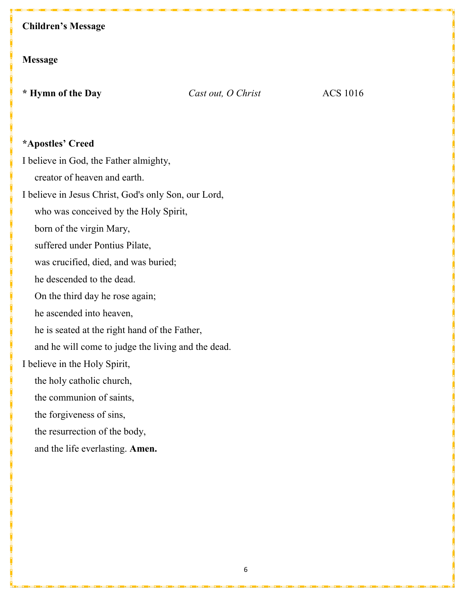# **Children's Message**

# **Message**

**\* Hymn of the Day** *Cast out, O Christ* ACS 1016

# **\*Apostles' Creed**

I believe in God, the Father almighty,

creator of heaven and earth.

I believe in Jesus Christ, God's only Son, our Lord,

who was conceived by the Holy Spirit,

born of the virgin Mary,

suffered under Pontius Pilate,

was crucified, died, and was buried;

he descended to the dead.

On the third day he rose again;

he ascended into heaven,

he is seated at the right hand of the Father,

and he will come to judge the living and the dead.

# I believe in the Holy Spirit,

the holy catholic church,

the communion of saints,

the forgiveness of sins,

the resurrection of the body,

and the life everlasting. **Amen.**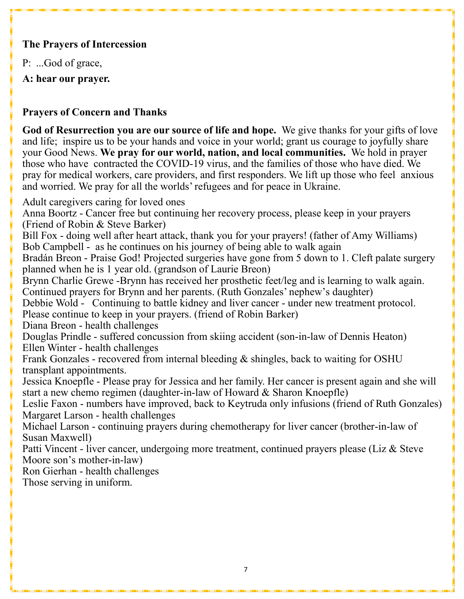# **The Prayers of Intercession**

P: ...God of grace,

**A: hear our prayer.**

# **Prayers of Concern and Thanks**

**God of Resurrection you are our source of life and hope.** We give thanks for your gifts of love and life; inspire us to be your hands and voice in your world; grant us courage to joyfully share your Good News. **We pray for our world, nation, and local communities.** We hold in prayer those who have contracted the COVID-19 virus, and the families of those who have died. We pray for medical workers, care providers, and first responders. We lift up those who feel anxious and worried. We pray for all the worlds' refugees and for peace in Ukraine.

Adult caregivers caring for loved ones

Anna Boortz - Cancer free but continuing her recovery process, please keep in your prayers (Friend of Robin & Steve Barker)

Bill Fox - doing well after heart attack, thank you for your prayers! (father of Amy Williams) Bob Campbell - as he continues on his journey of being able to walk again

Bradán Breon - Praise God! Projected surgeries have gone from 5 down to 1. Cleft palate surgery planned when he is 1 year old. (grandson of Laurie Breon)

Brynn Charlie Grewe -Brynn has received her prosthetic feet/leg and is learning to walk again. Continued prayers for Brynn and her parents. (Ruth Gonzales' nephew's daughter)

Debbie Wold - Continuing to battle kidney and liver cancer - under new treatment protocol. Please continue to keep in your prayers. (friend of Robin Barker)

Diana Breon - health challenges

Douglas Prindle - suffered concussion from skiing accident (son-in-law of Dennis Heaton) Ellen Winter - health challenges

Frank Gonzales - recovered from internal bleeding & shingles, back to waiting for OSHU transplant appointments.

Jessica Knoepfle - Please pray for Jessica and her family. Her cancer is present again and she will start a new chemo regimen (daughter-in-law of Howard & Sharon Knoepfle)

Leslie Faxon - numbers have improved, back to Keytruda only infusions (friend of Ruth Gonzales) Margaret Larson - health challenges

Michael Larson - continuing prayers during chemotherapy for liver cancer (brother-in-law of Susan Maxwell)

Patti Vincent - liver cancer, undergoing more treatment, continued prayers please (Liz & Steve Moore son's mother-in-law)

Ron Gierhan - health challenges

Those serving in uniform.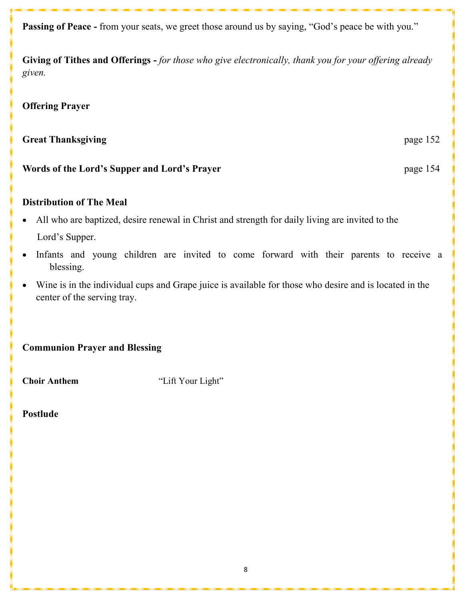**Passing of Peace -** from your seats, we greet those around us by saying, "God's peace be with you."

**Giving of Tithes and Offerings -** *for those who give electronically, thank you for your offering already given.*

## **Offering Prayer**

# **Great Thanksgiving**  page 152

**Words of the Lord's Supper and Lord's Prayer** page 154

# **Distribution of The Meal**

- All who are baptized, desire renewal in Christ and strength for daily living are invited to the Lord's Supper.
- Infants and young children are invited to come forward with their parents to receive a blessing.
- Wine is in the individual cups and Grape juice is available for those who desire and is located in the center of the serving tray.

**Communion Prayer and Blessing**

**Choir Anthem** "Lift Your Light"

**Postlude**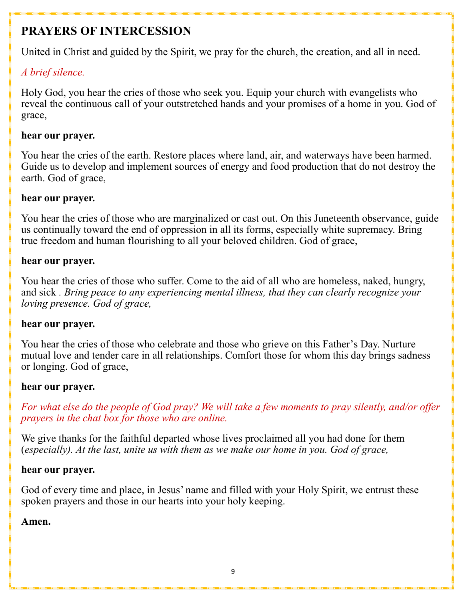# **PRAYERS OF INTERCESSION**

United in Christ and guided by the Spirit, we pray for the church, the creation, and all in need.

# *A brief silence.*

Holy God, you hear the cries of those who seek you. Equip your church with evangelists who reveal the continuous call of your outstretched hands and your promises of a home in you. God of grace,

# **hear our prayer.**

You hear the cries of the earth. Restore places where land, air, and waterways have been harmed. Guide us to develop and implement sources of energy and food production that do not destroy the earth. God of grace,

# **hear our prayer.**

You hear the cries of those who are marginalized or cast out. On this Juneteenth observance, guide us continually toward the end of oppression in all its forms, especially white supremacy. Bring true freedom and human flourishing to all your beloved children. God of grace,

# **hear our prayer.**

You hear the cries of those who suffer. Come to the aid of all who are homeless, naked, hungry, and sick *. Bring peace to any experiencing mental illness, that they can clearly recognize your loving presence. God of grace,*

# **hear our prayer.**

You hear the cries of those who celebrate and those who grieve on this Father's Day. Nurture mutual love and tender care in all relationships. Comfort those for whom this day brings sadness or longing. God of grace,

# **hear our prayer.**

*For what else do the people of God pray? We will take a few moments to pray silently, and/or offer prayers in the chat box for those who are online.*

We give thanks for the faithful departed whose lives proclaimed all you had done for them (*especially). At the last, unite us with them as we make our home in you. God of grace,*

# **hear our prayer.**

God of every time and place, in Jesus' name and filled with your Holy Spirit, we entrust these spoken prayers and those in our hearts into your holy keeping.

# **Amen.**